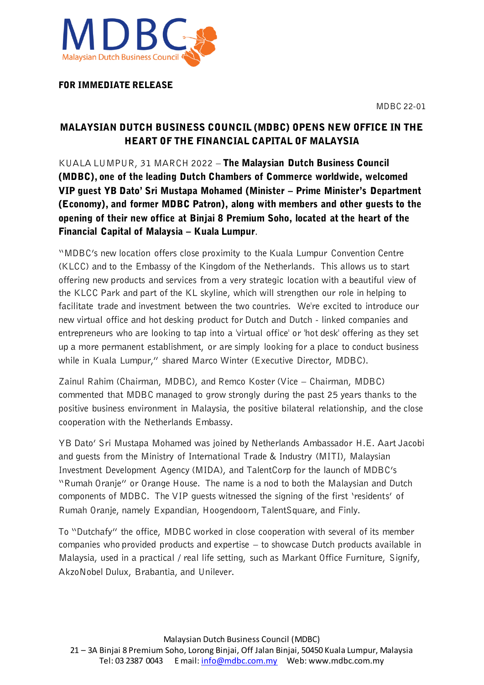



FOR IMMEDIATE RELEASE

# MALAYSIAN DUTCH BUSINESS COUNCIL (MDBC) OPENS NEW OFFICE IN THE HEART OF THE FINANCIAL CAPITAL OF MALAYSIA

KUALA LUMPUR, 31 MARCH 2022 – The Malaysian Dutch Business Council (MDBC), one of the leading Dutch Chambers of Commerce worldwide, welcomed VIP guest YB Dato' Sri Mustapa Mohamed (Minister – Prime Minister's Department (Economy), and former MDBC Patron), along with members and other guests to the opening of their new office at Binjai 8 Premium Soho, located at the heart of the Financial Capital of Malaysia – Kuala Lumpur.

"MDBC's new location offers close proximity to the Kuala Lumpur Convention Centre (KLCC) and to the Embassy of the Kingdom of the Netherlands. This allows us to start offering new products and services from a very strategic location with a beautiful view of the KLCC Park and part of the KL skyline, which will strengthen our role in helping to facilitate trade and investment between the two countries. We're excited to introduce our new virtual office and hot desking product for Dutch and Dutch - linked companies and entrepreneurs who are looking to tap into a 'virtual office' or 'hot desk' offering as they set up a more permanent establishment, or are simply looking for a place to conduct business while in Kuala Lumpur," shared Marco Winter (Executive Director, MDBC).

Zainul Rahim (Chairman, MDBC), and Remco Koster (Vice – Chairman, MDBC) commented that MDBC managed to grow strongly during the past 25 years thanks to the positive business environment in Malaysia, the positive bilateral relationship, and the close cooperation with the Netherlands Embassy.

YB Dato' Sri Mustapa Mohamed was joined by Netherlands Ambassador H.E. Aart Jacobi and guests from the Ministry of International Trade & Industry (MITI), Malaysian Investment Development Agency (MIDA), and TalentCorp for the launch of MDBC's "Rumah Oranje" or Orange House. The name is a nod to both the Malaysian and Dutch components of MDBC. The VIP guests witnessed the signing of the first 'residents' of Rumah Oranje, namely Expandian, Hoogendoorn, TalentSquare, and Finly.

To "Dutchafy" the office, MDBC worked in close cooperation with several of its member companies who provided products and expertise – to showcase Dutch products available in Malaysia, used in a practical / real life setting, such as Markant Office Furniture, Signify, AkzoNobel Dulux, Brabantia, and Unilever.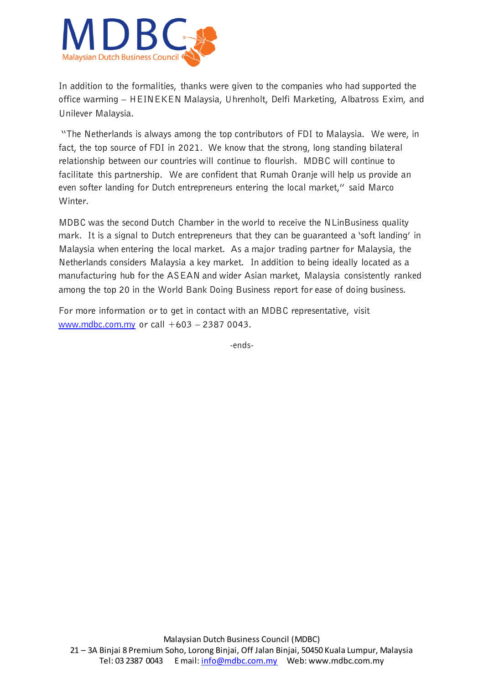

In addition to the formalities, thanks were given to the companies who had supported the office warming – HEINEKEN Malaysia, Uhrenholt, Delfi Marketing, Albatross Exim, and Unilever Malaysia.

"The Netherlands is always among the top contributors of FDI to Malaysia. We were, in fact, the top source of FDI in 2021. We know that the strong, long standing bilateral relationship between our countries will continue to flourish. MDBC will continue to facilitate this partnership. We are confident that Rumah Oranje will help us provide an even softer landing for Dutch entrepreneurs entering the local market," said Marco Winter.

MDBC was the second Dutch Chamber in the world to receive the NLinBusiness quality mark. It is a signal to Dutch entrepreneurs that they can be guaranteed a 'soft landing' in Malaysia when entering the local market. As a major trading partner for Malaysia, the Netherlands considers Malaysia a key market. In addition to being ideally located as a manufacturing hub for the ASEAN and wider Asian market, Malaysia consistently ranked among the top 20 in the World Bank Doing Business report for ease of doing business.

For more information or to get in contact with an MDBC representative, visit [www.mdbc.com.my](http://www.mdbc.com.my/) or call +603 – 2387 0043.

-ends-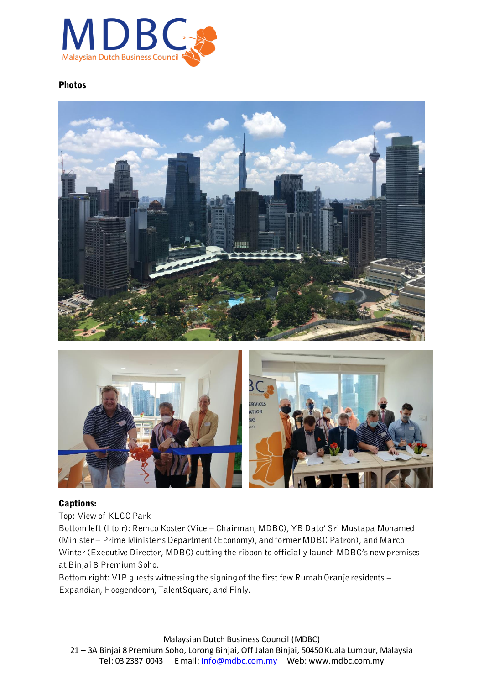

## Photos





#### Captions:

Top: View of KLCC Park

Bottom left (l to r): Remco Koster (Vice – Chairman, MDBC), YB Dato' Sri Mustapa Mohamed (Minister – Prime Minister's Department (Economy), and former MDBC Patron), and Marco Winter (Executive Director, MDBC) cutting the ribbon to officially launch MDBC's new premises at Binjai 8 Premium Soho.

Bottom right: VIP guests witnessing the signing of the first few Rumah Oranje residents – Expandian, Hoogendoorn, TalentSquare, and Finly.

Malaysian Dutch Business Council (MDBC) 21 – 3A Binjai 8 Premium Soho, Lorong Binjai, Off Jalan Binjai, 50450 Kuala Lumpur, Malaysia Tel: 03 2387 0043 E mail: [info@mdbc.com.my](mailto:info@mdbc.com.my) Web: www.mdbc.com.my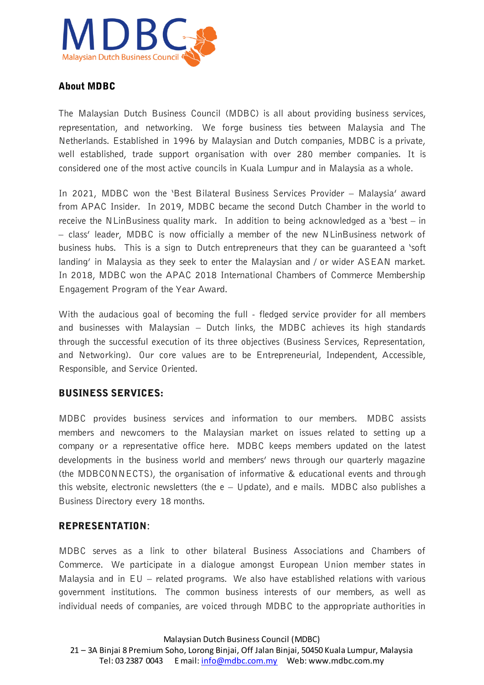

## About MDBC

The Malaysian Dutch Business Council (MDBC) is all about providing business services, representation, and networking. We forge business ties between Malaysia and The Netherlands. Established in 1996 by Malaysian and Dutch companies, MDBC is a private, well established, trade support organisation with over 280 member companies. It is considered one of the most active councils in Kuala Lumpur and in Malaysia as a whole.

In 2021, MDBC won the 'Best Bilateral Business Services Provider – Malaysia' award from APAC Insider. In 2019, MDBC became the second Dutch Chamber in the world to receive the NLinBusiness quality mark. In addition to being acknowledged as a 'best – in – class' leader, MDBC is now officially a member of the new NLinBusiness network of business hubs. This is a sign to Dutch entrepreneurs that they can be guaranteed a 'soft landing' in Malaysia as they seek to enter the Malaysian and / or wider ASEAN market. In 2018, MDBC won the APAC 2018 International Chambers of Commerce Membership Engagement Program of the Year Award.

With the audacious goal of becoming the full - fledged service provider for all members and businesses with Malaysian – Dutch links, the MDBC achieves its high standards through the successful execution of its three objectives (Business Services, Representation, and Networking). Our core values are to be Entrepreneurial, Independent, Accessible, Responsible, and Service Oriented.

## BUSINESS SERVICES:

MDBC provides business services and information to our members. MDBC assists members and newcomers to the Malaysian market on issues related to setting up a company or a representative office here. MDBC keeps members updated on the latest developments in the business world and members' news through our quarterly magazine (the MDBCONNECTS), the organisation of informative & educational events and through this website, electronic newsletters (the  $e -$  Update), and e mails. MDBC also publishes a Business Directory every 18 months.

## REPRESENTATION**:**

MDBC serves as a link to other bilateral Business Associations and Chambers of Commerce. We participate in a dialogue amongst European Union member states in Malaysia and in  $EU -$  related programs. We also have established relations with various government institutions. The common business interests of our members, as well as individual needs of companies, are voiced through MDBC to the appropriate authorities in